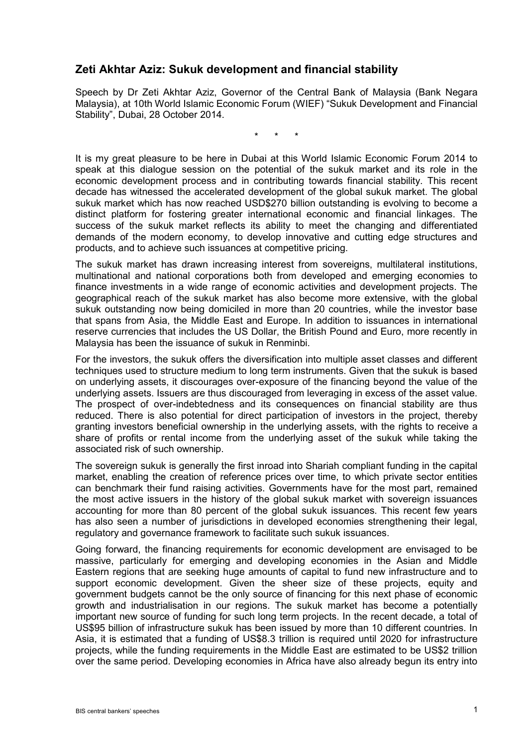## **Zeti Akhtar Aziz: Sukuk development and financial stability**

Speech by Dr Zeti Akhtar Aziz, Governor of the Central Bank of Malaysia (Bank Negara Malaysia), at 10th World Islamic Economic Forum (WIEF) "Sukuk Development and Financial Stability", Dubai, 28 October 2014.

\* \* \*

It is my great pleasure to be here in Dubai at this World Islamic Economic Forum 2014 to speak at this dialogue session on the potential of the sukuk market and its role in the economic development process and in contributing towards financial stability. This recent decade has witnessed the accelerated development of the global sukuk market. The global sukuk market which has now reached USD\$270 billion outstanding is evolving to become a distinct platform for fostering greater international economic and financial linkages. The success of the sukuk market reflects its ability to meet the changing and differentiated demands of the modern economy, to develop innovative and cutting edge structures and products, and to achieve such issuances at competitive pricing.

The sukuk market has drawn increasing interest from sovereigns, multilateral institutions, multinational and national corporations both from developed and emerging economies to finance investments in a wide range of economic activities and development projects. The geographical reach of the sukuk market has also become more extensive, with the global sukuk outstanding now being domiciled in more than 20 countries, while the investor base that spans from Asia, the Middle East and Europe. In addition to issuances in international reserve currencies that includes the US Dollar, the British Pound and Euro, more recently in Malaysia has been the issuance of sukuk in Renminbi.

For the investors, the sukuk offers the diversification into multiple asset classes and different techniques used to structure medium to long term instruments. Given that the sukuk is based on underlying assets, it discourages over-exposure of the financing beyond the value of the underlying assets. Issuers are thus discouraged from leveraging in excess of the asset value. The prospect of over-indebtedness and its consequences on financial stability are thus reduced. There is also potential for direct participation of investors in the project, thereby granting investors beneficial ownership in the underlying assets, with the rights to receive a share of profits or rental income from the underlying asset of the sukuk while taking the associated risk of such ownership.

The sovereign sukuk is generally the first inroad into Shariah compliant funding in the capital market, enabling the creation of reference prices over time, to which private sector entities can benchmark their fund raising activities. Governments have for the most part, remained the most active issuers in the history of the global sukuk market with sovereign issuances accounting for more than 80 percent of the global sukuk issuances. This recent few years has also seen a number of jurisdictions in developed economies strengthening their legal. regulatory and governance framework to facilitate such sukuk issuances.

Going forward, the financing requirements for economic development are envisaged to be massive, particularly for emerging and developing economies in the Asian and Middle Eastern regions that are seeking huge amounts of capital to fund new infrastructure and to support economic development. Given the sheer size of these projects, equity and government budgets cannot be the only source of financing for this next phase of economic growth and industrialisation in our regions. The sukuk market has become a potentially important new source of funding for such long term projects. In the recent decade, a total of US\$95 billion of infrastructure sukuk has been issued by more than 10 different countries. In Asia, it is estimated that a funding of US\$8.3 trillion is required until 2020 for infrastructure projects, while the funding requirements in the Middle East are estimated to be US\$2 trillion over the same period. Developing economies in Africa have also already begun its entry into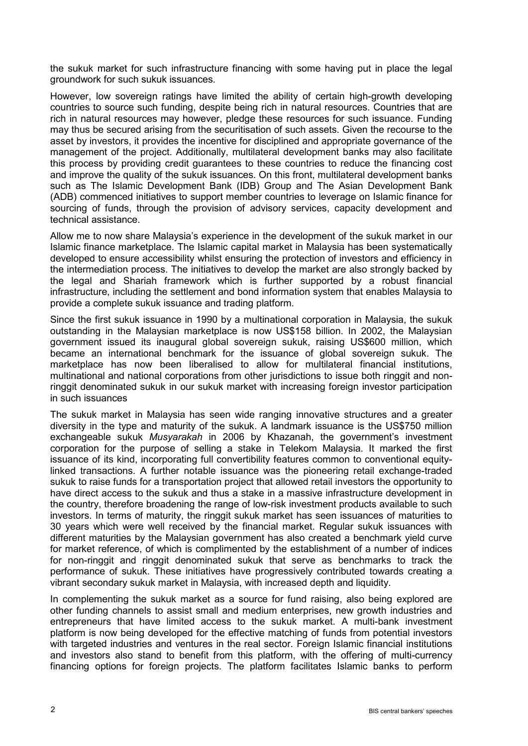the sukuk market for such infrastructure financing with some having put in place the legal groundwork for such sukuk issuances.

However, low sovereign ratings have limited the ability of certain high-growth developing countries to source such funding, despite being rich in natural resources. Countries that are rich in natural resources may however, pledge these resources for such issuance. Funding may thus be secured arising from the securitisation of such assets. Given the recourse to the asset by investors, it provides the incentive for disciplined and appropriate governance of the management of the project. Additionally, multilateral development banks may also facilitate this process by providing credit guarantees to these countries to reduce the financing cost and improve the quality of the sukuk issuances. On this front, multilateral development banks such as The Islamic Development Bank (IDB) Group and The Asian Development Bank (ADB) commenced initiatives to support member countries to leverage on Islamic finance for sourcing of funds, through the provision of advisory services, capacity development and technical assistance.

Allow me to now share Malaysia's experience in the development of the sukuk market in our Islamic finance marketplace. The Islamic capital market in Malaysia has been systematically developed to ensure accessibility whilst ensuring the protection of investors and efficiency in the intermediation process. The initiatives to develop the market are also strongly backed by the legal and Shariah framework which is further supported by a robust financial infrastructure, including the settlement and bond information system that enables Malaysia to provide a complete sukuk issuance and trading platform.

Since the first sukuk issuance in 1990 by a multinational corporation in Malaysia, the sukuk outstanding in the Malaysian marketplace is now US\$158 billion. In 2002, the Malaysian government issued its inaugural global sovereign sukuk, raising US\$600 million, which became an international benchmark for the issuance of global sovereign sukuk. The marketplace has now been liberalised to allow for multilateral financial institutions, multinational and national corporations from other jurisdictions to issue both ringgit and nonringgit denominated sukuk in our sukuk market with increasing foreign investor participation in such issuances

The sukuk market in Malaysia has seen wide ranging innovative structures and a greater diversity in the type and maturity of the sukuk. A landmark issuance is the US\$750 million exchangeable sukuk *Musyarakah* in 2006 by Khazanah, the government's investment corporation for the purpose of selling a stake in Telekom Malaysia. It marked the first issuance of its kind, incorporating full convertibility features common to conventional equitylinked transactions. A further notable issuance was the pioneering retail exchange-traded sukuk to raise funds for a transportation project that allowed retail investors the opportunity to have direct access to the sukuk and thus a stake in a massive infrastructure development in the country, therefore broadening the range of low-risk investment products available to such investors. In terms of maturity, the ringgit sukuk market has seen issuances of maturities to 30 years which were well received by the financial market. Regular sukuk issuances with different maturities by the Malaysian government has also created a benchmark yield curve for market reference, of which is complimented by the establishment of a number of indices for non-ringgit and ringgit denominated sukuk that serve as benchmarks to track the performance of sukuk. These initiatives have progressively contributed towards creating a vibrant secondary sukuk market in Malaysia, with increased depth and liquidity.

In complementing the sukuk market as a source for fund raising, also being explored are other funding channels to assist small and medium enterprises, new growth industries and entrepreneurs that have limited access to the sukuk market. A multi-bank investment platform is now being developed for the effective matching of funds from potential investors with targeted industries and ventures in the real sector. Foreign Islamic financial institutions and investors also stand to benefit from this platform, with the offering of multi-currency financing options for foreign projects. The platform facilitates Islamic banks to perform